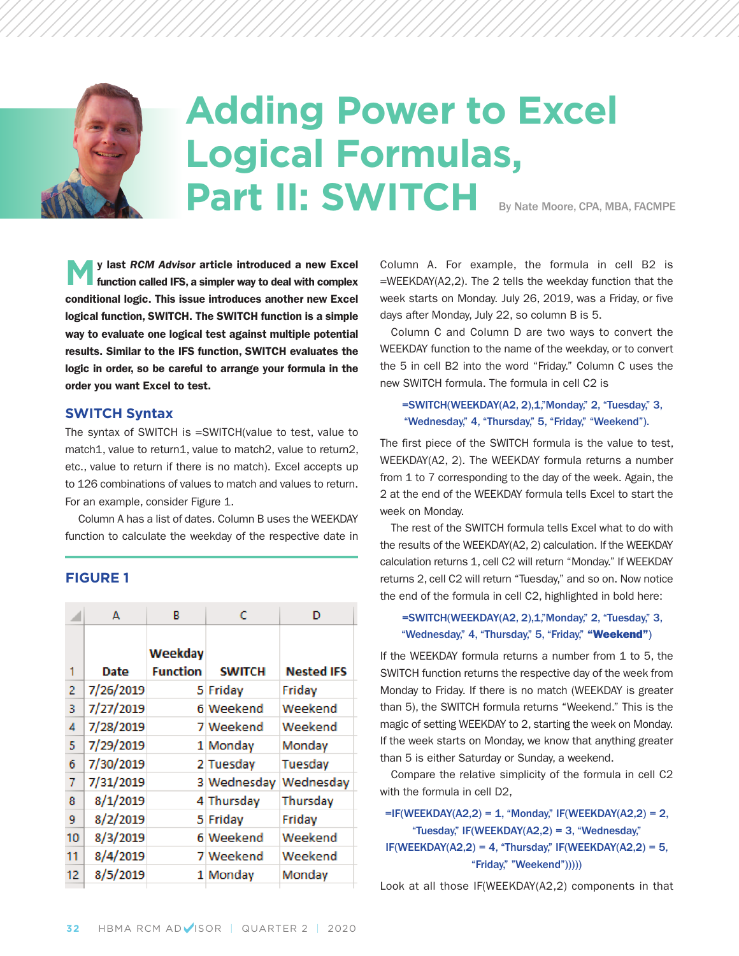# **adding power to excel logical Formulas,** Part II: SWITCH By Nate Moore, CPA, MBA, FACMPE

**m<sup>y</sup> last** *RCM Advisor* **article introduced <sup>a</sup> new Excel function called IFS, a simpler way to deal with complex conditional logic. This issue introduces another new Excel logical function, SWITCH. The SWITCH function is a simple way to evaluate one logical test against multiple potential results. Similar to the IFS function, SWITCH evaluates the logic in order, so be careful to arrange your formula in the order you want Excel to test.**

#### **sWiTcH syntax**

The syntax of SWITCH is =SWITCH(value to test, value to match1, value to return1, value to match2, value to return2, etc., value to return if there is no match). Excel accepts up to 126 combinations of values to match and values to return. For an example, consider Figure 1.

Column A has a list of dates. Column B uses the WEEKDAY function to calculate the weekday of the respective date in

#### **Figure 1**

|    | А         | в                          | c             | D                 |
|----|-----------|----------------------------|---------------|-------------------|
| 1  | Date      | Weekday<br><b>Function</b> | <b>SWITCH</b> | <b>Nested IFS</b> |
| 2  | 7/26/2019 |                            | 5 Friday      | Friday            |
| 3  | 7/27/2019 |                            | 6 Weekend     | Weekend           |
| 4  | 7/28/2019 |                            | 7 Weekend     | Weekend           |
| 5  | 7/29/2019 |                            | 1 Monday      | Monday            |
| 6  | 7/30/2019 |                            | 2 Tuesday     | Tuesday           |
| 7  | 7/31/2019 |                            | 3 Wednesday   | Wednesday         |
| 8  | 8/1/2019  |                            | 4 Thursday    | Thursday          |
| 9  | 8/2/2019  |                            | 5 Friday      | Friday            |
| 10 | 8/3/2019  |                            | 6 Weekend     | Weekend           |
| 11 | 8/4/2019  |                            | 7 Weekend     | Weekend           |
| 12 | 8/5/2019  |                            | 1 Monday      | Monday            |
|    |           |                            |               |                   |

Column A. For example, the formula in cell B2 is =WEEKDAY(A2,2). The 2 tells the weekday function that the week starts on Monday. July 26, 2019, was a Friday, or five days after Monday, July 22, so column B is 5.

Column C and Column D are two ways to convert the WEEKDAY function to the name of the weekday, or to convert the 5 in cell B2 into the word "Friday." Column C uses the new SWITCH formula. The formula in cell C2 is

#### =SWITCH(WEEKDAY(A2, 2),1,"Monday," 2, "Tuesday," 3, "Wednesday," 4, "Thursday," 5, "Friday," "Weekend").

The first piece of the SWITCH formula is the value to test, WEEKDAY(A2, 2). The WEEKDAY formula returns a number from 1 to 7 corresponding to the day of the week. Again, the 2 at the end of the WEEKDAY formula tells Excel to start the week on Monday.

The rest of the SWITCH formula tells Excel what to do with the results of the WEEKDAY(A2, 2) calculation. If the WEEKDAY calculation returns 1, cell C2 will return "Monday." If WEEKDAY returns 2, cell C2 will return "Tuesday," and so on. Now notice the end of the formula in cell C2, highlighted in bold here:

#### =SWITCH(WEEKDAY(A2, 2),1,"Monday," 2, "Tuesday," 3, "Wednesday," 4, "Thursday," 5, "Friday," **"Weekend"**)

If the WEEKDAY formula returns a number from 1 to 5, the SWITCH function returns the respective day of the week from Monday to Friday. If there is no match (WEEKDAY is greater than 5), the SWITCH formula returns "Weekend." This is the magic of setting WEEKDAY to 2, starting the week on Monday. If the week starts on Monday, we know that anything greater than 5 is either Saturday or Sunday, a weekend.

Compare the relative simplicity of the formula in cell C2 with the formula in cell D2,

#### $=$ IF(WEEKDAY(A2,2) = 1, "Monday," IF(WEEKDAY(A2,2) = 2, "Tuesday," IF(WEEKDAY(A2,2) = 3, "Wednesday,"  $IF(WEEKDAY(A2,2) = 4, "Thursday," IF(WEEKDAY(A2,2) = 5,$ "Friday," "Weekend")))))

Look at all those IF(WEEKDAY(A2,2) components in that